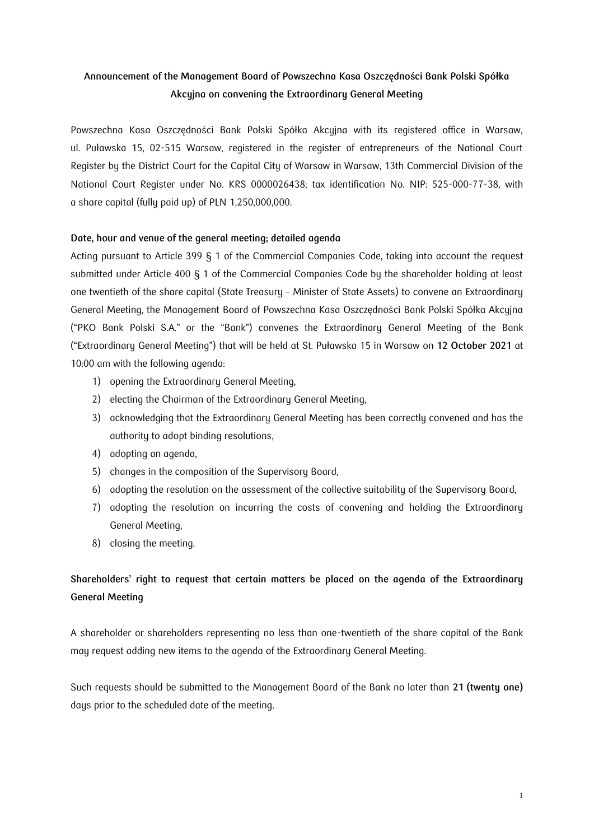# **Announcement of the Management Board of Powszechna Kasa Oszczędności Bank Polski Spółka Akcyjna on convening the Extraordinary General Meeting**

Powszechna Kasa Oszczędności Bank Polski Spółka Akcyjna with its registered office in Warsaw, ul. Puławska 15, 02-515 Warsaw, registered in the register of entrepreneurs of the National Court Register by the District Court for the Capital City of Warsaw in Warsaw, 13th Commercial Division of the National Court Register under No. KRS 0000026438; tax identification No. NIP: 525-000-77-38, with a share capital (fully paid up) of PLN 1,250,000,000.

## **Date, hour and venue of the general meeting; detailed agenda**

Acting pursuant to Article 399 § 1 of the Commercial Companies Code, taking into account the request submitted under Article 400 § 1 of the Commercial Companies Code by the shareholder holding at least one twentieth of the share capital (State Treasury – Minister of State Assets) to convene an Extraordinary General Meeting, the Management Board of Powszechna Kasa Oszczędności Bank Polski Spółka Akcyjna ("PKO Bank Polski S.A." or the "Bank") convenes the Extraordinary General Meeting of the Bank ("Extraordinary General Meeting") that will be held at St. Puławska 15 in Warsaw on **12 October 2021** at 10:00 am with the following agenda:

- 1) opening the Extraordinary General Meeting,
- 2) electing the Chairman of the Extraordinary General Meeting,
- 3) acknowledging that the Extraordinary General Meeting has been correctly convened and has the authority to adopt binding resolutions,
- 4) adopting an agenda,
- 5) changes in the composition of the Supervisory Board,
- 6) adopting the resolution on the assessment of the collective suitability of the Supervisory Board,
- 7) adopting the resolution on incurring the costs of convening and holding the Extraordinary General Meeting,
- 8) closing the meeting.

# **Shareholders' right to request that certain matters be placed on the agenda of the Extraordinary General Meeting**

A shareholder or shareholders representing no less than one-twentieth of the share capital of the Bank may request adding new items to the agenda of the Extraordinary General Meeting.

Such requests should be submitted to the Management Board of the Bank no later than **21 (twenty one)** days prior to the scheduled date of the meeting.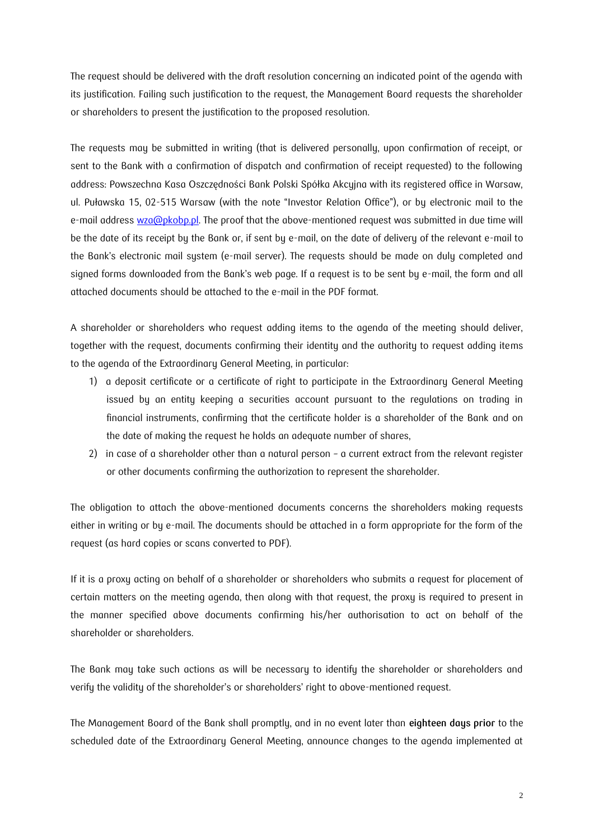The request should be delivered with the draft resolution concerning an indicated point of the agenda with its justification. Failing such justification to the request, the Management Board requests the shareholder or shareholders to present the justification to the proposed resolution.

The requests may be submitted in writing (that is delivered personally, upon confirmation of receipt, or sent to the Bank with a confirmation of dispatch and confirmation of receipt requested) to the following address: Powszechna Kasa Oszczędności Bank Polski Spółka Akcyjna with its registered office in Warsaw, ul. Puławska 15, 02-515 Warsaw (with the note "Investor Relation Office"), or by electronic mail to the e-mail address [wza@pkobp.pl.](mailto:wza@pkobp.pl) The proof that the above-mentioned request was submitted in due time will be the date of its receipt by the Bank or, if sent by e-mail, on the date of delivery of the relevant e-mail to the Bank's electronic mail system (e-mail server). The requests should be made on duly completed and signed forms downloaded from the Bank's web page. If a request is to be sent by e-mail, the form and all attached documents should be attached to the e-mail in the PDF format.

A shareholder or shareholders who request adding items to the agenda of the meeting should deliver, together with the request, documents confirming their identity and the authority to request adding items to the agenda of the Extraordinary General Meeting, in particular:

- 1) a deposit certificate or a certificate of right to participate in the Extraordinary General Meeting issued by an entity keeping a securities account pursuant to the regulations on trading in financial instruments, confirming that the certificate holder is a shareholder of the Bank and on the date of making the request he holds an adequate number of shares,
- 2) in case of a shareholder other than a natural person a current extract from the relevant register or other documents confirming the authorization to represent the shareholder.

The obligation to attach the above-mentioned documents concerns the shareholders making requests either in writing or by e-mail. The documents should be attached in a form appropriate for the form of the request (as hard copies or scans converted to PDF).

If it is a proxy acting on behalf of a shareholder or shareholders who submits a request for placement of certain matters on the meeting agenda, then along with that request, the proxy is required to present in the manner specified above documents confirming his/her authorisation to act on behalf of the shareholder or shareholders.

The Bank may take such actions as will be necessary to identify the shareholder or shareholders and verify the validity of the shareholder's or shareholders' right to above-mentioned request.

The Management Board of the Bank shall promptly, and in no event later than **eighteen days prior** to the scheduled date of the Extraordinary General Meeting, announce changes to the agenda implemented at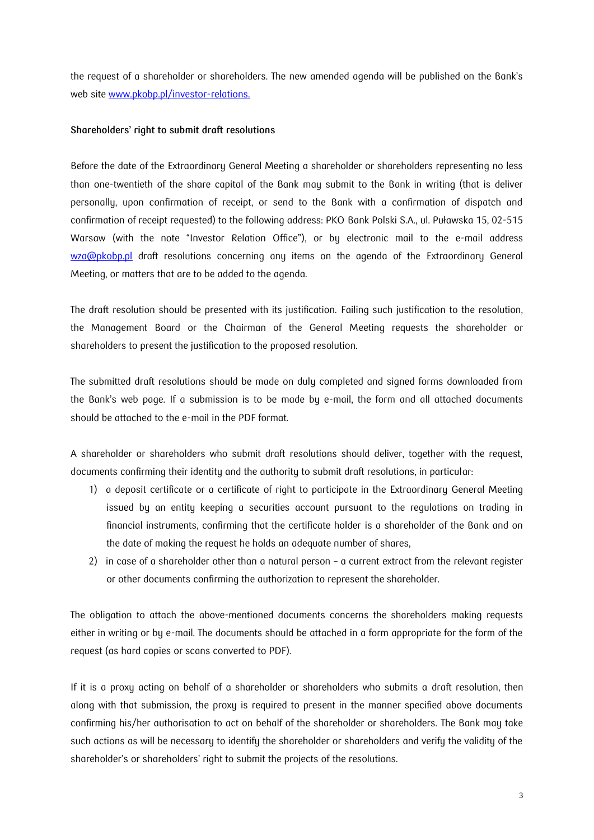the request of a shareholder or shareholders. The new amended agenda will be published on the Bank's web site [www.pkobp.pl/investor-](http://www.pkobp.pl/investors)relations.

#### **Shareholders' right to submit draft resolutions**

Before the date of the Extraordinary General Meeting a shareholder or shareholders representing no less than one-twentieth of the share capital of the Bank may submit to the Bank in writing (that is deliver personally, upon confirmation of receipt, or send to the Bank with a confirmation of dispatch and confirmation of receipt requested) to the following address: PKO Bank Polski S.A., ul. Puławska 15, 02-515 Warsaw (with the note "Investor Relation Office"), or by electronic mail to the e-mail address [wza@pkobp.pl](mailto:wza@pkobp.pl) draft resolutions concerning any items on the agenda of the Extraordinary General Meeting, or matters that are to be added to the agenda.

The draft resolution should be presented with its justification. Failing such justification to the resolution, the Management Board or the Chairman of the General Meeting requests the shareholder or shareholders to present the justification to the proposed resolution.

The submitted draft resolutions should be made on duly completed and signed forms downloaded from the Bank's web page. If a submission is to be made by e-mail, the form and all attached documents should be attached to the e-mail in the PDF format.

A shareholder or shareholders who submit draft resolutions should deliver, together with the request, documents confirming their identity and the authority to submit draft resolutions, in particular:

- 1) a deposit certificate or a certificate of right to participate in the Extraordinary General Meeting issued by an entity keeping a securities account pursuant to the regulations on trading in financial instruments, confirming that the certificate holder is a shareholder of the Bank and on the date of making the request he holds an adequate number of shares,
- 2) in case of a shareholder other than a natural person a current extract from the relevant register or other documents confirming the authorization to represent the shareholder.

The obligation to attach the above-mentioned documents concerns the shareholders making requests either in writing or by e-mail. The documents should be attached in a form appropriate for the form of the request (as hard copies or scans converted to PDF).

If it is a proxy acting on behalf of a shareholder or shareholders who submits a draft resolution, then along with that submission, the proxy is required to present in the manner specified above documents confirming his/her authorisation to act on behalf of the shareholder or shareholders. The Bank may take such actions as will be necessary to identify the shareholder or shareholders and verify the validity of the shareholder's or shareholders' right to submit the projects of the resolutions.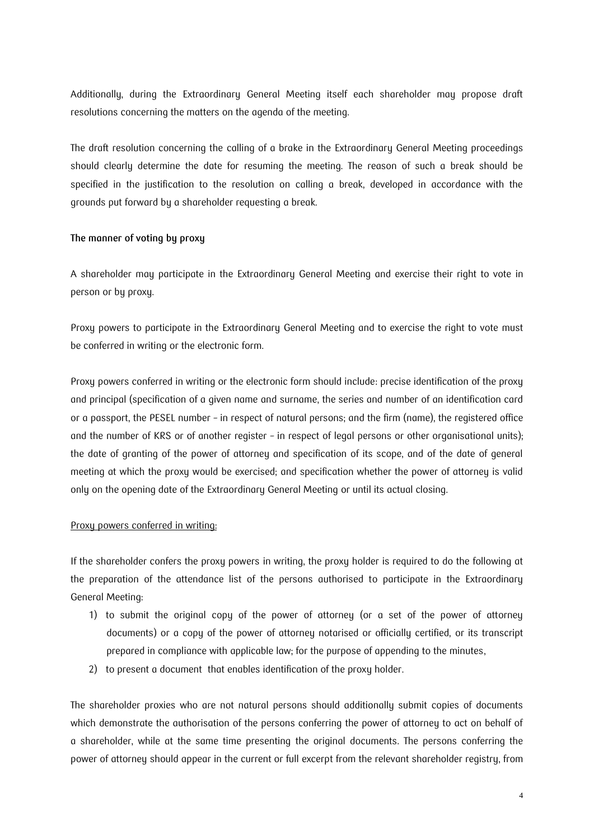Additionally, during the Extraordinary General Meeting itself each shareholder may propose draft resolutions concerning the matters on the agenda of the meeting.

The draft resolution concerning the calling of a brake in the Extraordinary General Meeting proceedings should clearly determine the date for resuming the meeting. The reason of such a break should be specified in the justification to the resolution on calling a break, developed in accordance with the grounds put forward by a shareholder requesting a break.

## **The manner of voting by proxy**

A shareholder may participate in the Extraordinary General Meeting and exercise their right to vote in person or by proxy.

Proxy powers to participate in the Extraordinary General Meeting and to exercise the right to vote must be conferred in writing or the electronic form.

Proxy powers conferred in writing or the electronic form should include: precise identification of the proxy and principal (specification of a given name and surname, the series and number of an identification card or a passport, the PESEL number – in respect of natural persons; and the firm (name), the registered office and the number of KRS or of another register – in respect of legal persons or other organisational units); the date of granting of the power of attorney and specification of its scope, and of the date of general meeting at which the proxy would be exercised; and specification whether the power of attorney is valid only on the opening date of the Extraordinary General Meeting or until its actual closing.

## Proxy powers conferred in writing:

If the shareholder confers the proxy powers in writing, the proxy holder is required to do the following at the preparation of the attendance list of the persons authorised to participate in the Extraordinary General Meeting:

- 1) to submit the original copy of the power of attorney (or a set of the power of attorney documents) or a copy of the power of attorney notarised or officially certified, or its transcript prepared in compliance with applicable law; for the purpose of appending to the minutes,
- 2) to present a document that enables identification of the proxy holder.

The shareholder proxies who are not natural persons should additionally submit copies of documents which demonstrate the authorisation of the persons conferring the power of attorney to act on behalf of a shareholder, while at the same time presenting the original documents. The persons conferring the power of attorney should appear in the current or full excerpt from the relevant shareholder registry, from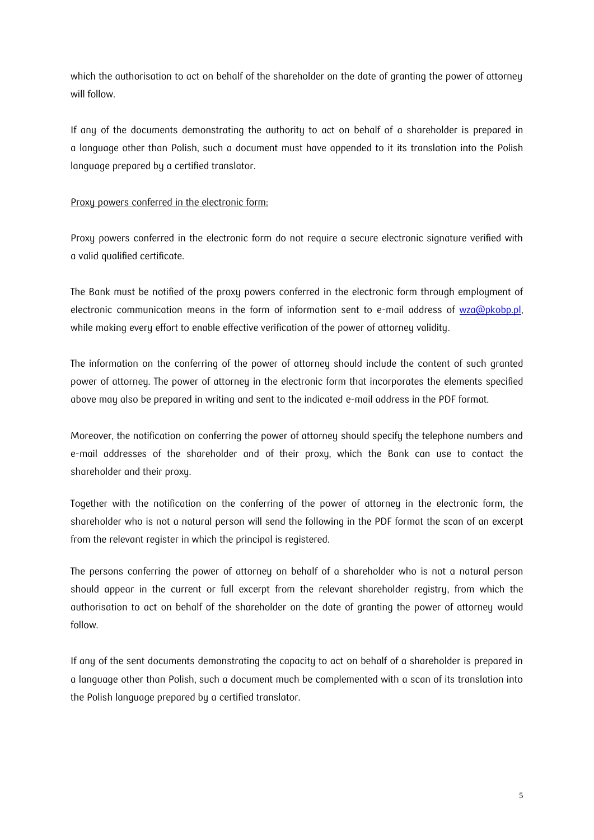which the authorisation to act on behalf of the shareholder on the date of granting the power of attorney will follow.

If any of the documents demonstrating the authority to act on behalf of a shareholder is prepared in a language other than Polish, such a document must have appended to it its translation into the Polish language prepared by a certified translator.

# Proxy powers conferred in the electronic form:

Proxy powers conferred in the electronic form do not require a secure electronic signature verified with a valid qualified certificate.

The Bank must be notified of the proxy powers conferred in the electronic form through employment of electronic communication means in the form of information sent to e-mail address of wza@pkobp.pl, while making every effort to enable effective verification of the power of attorney validity.

The information on the conferring of the power of attorney should include the content of such granted power of attorney. The power of attorney in the electronic form that incorporates the elements specified above may also be prepared in writing and sent to the indicated e-mail address in the PDF format.

Moreover, the notification on conferring the power of attorney should specify the telephone numbers and e-mail addresses of the shareholder and of their proxy, which the Bank can use to contact the shareholder and their proxy.

Together with the notification on the conferring of the power of attorney in the electronic form, the shareholder who is not a natural person will send the following in the PDF format the scan of an excerpt from the relevant register in which the principal is registered.

The persons conferring the power of attorney on behalf of a shareholder who is not a natural person should appear in the current or full excerpt from the relevant shareholder registry, from which the authorisation to act on behalf of the shareholder on the date of granting the power of attorney would follow.

If any of the sent documents demonstrating the capacity to act on behalf of a shareholder is prepared in a language other than Polish, such a document much be complemented with a scan of its translation into the Polish language prepared by a certified translator.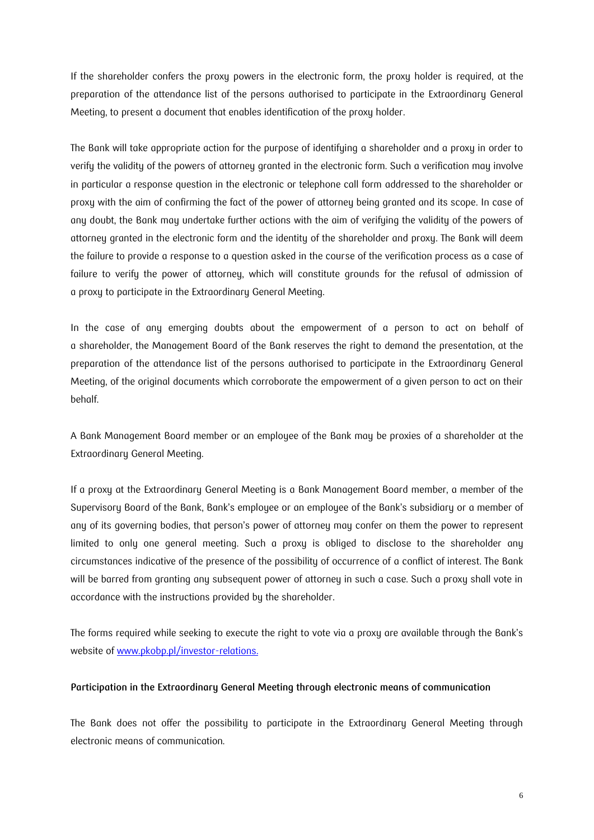If the shareholder confers the proxy powers in the electronic form, the proxy holder is required, at the preparation of the attendance list of the persons authorised to participate in the Extraordinary General Meeting, to present a document that enables identification of the proxy holder.

The Bank will take appropriate action for the purpose of identifying a shareholder and a proxy in order to verify the validity of the powers of attorney granted in the electronic form. Such a verification may involve in particular a response question in the electronic or telephone call form addressed to the shareholder or proxy with the aim of confirming the fact of the power of attorney being granted and its scope. In case of any doubt, the Bank may undertake further actions with the aim of verifying the validity of the powers of attorney granted in the electronic form and the identity of the shareholder and proxy. The Bank will deem the failure to provide a response to a question asked in the course of the verification process as a case of failure to verify the power of attorney, which will constitute grounds for the refusal of admission of a proxy to participate in the Extraordinary General Meeting.

In the case of any emerging doubts about the empowerment of a person to act on behalf of a shareholder, the Management Board of the Bank reserves the right to demand the presentation, at the preparation of the attendance list of the persons authorised to participate in the Extraordinary General Meeting, of the original documents which corroborate the empowerment of a given person to act on their behalf.

A Bank Management Board member or an employee of the Bank may be proxies of a shareholder at the Extraordinary General Meeting.

If a proxy at the Extraordinary General Meeting is a Bank Management Board member, a member of the Supervisory Board of the Bank, Bank's employee or an employee of the Bank's subsidiary or a member of any of its governing bodies, that person's power of attorney may confer on them the power to represent limited to only one general meeting. Such a proxy is obliged to disclose to the shareholder any circumstances indicative of the presence of the possibility of occurrence of a conflict of interest. The Bank will be barred from granting any subsequent power of attorney in such a case. Such a proxy shall vote in accordance with the instructions provided by the shareholder.

The forms required while seeking to execute the right to vote via a proxy are available through the Bank's website of [www.pkobp.pl/](http://www.pkobp.pl/)investor-relations.

## **Participation in the Extraordinary General Meeting through electronic means of communication**

The Bank does not offer the possibility to participate in the Extraordinary General Meeting through electronic means of communication.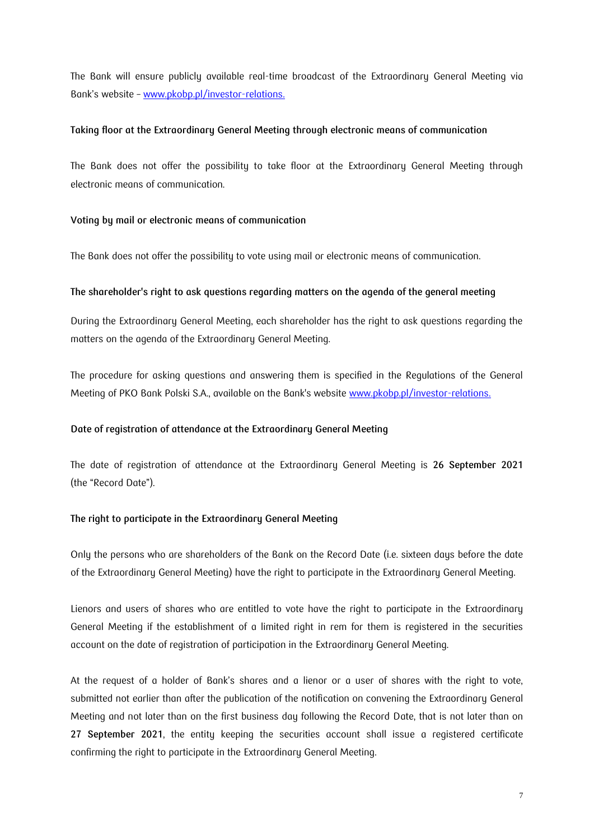The Bank will ensure publicly available real-time broadcast of the Extraordinary General Meeting via Bank's website – [www.pkobp.pl/](http://www.pkobp.pl/)investor-relations.

#### **Taking floor at the Extraordinary General Meeting through electronic means of communication**

The Bank does not offer the possibility to take floor at the Extraordinary General Meeting through electronic means of communication.

## **Voting by mail or electronic means of communication**

The Bank does not offer the possibility to vote using mail or electronic means of communication.

#### **The shareholder's right to ask questions regarding matters on the agenda of the general meeting**

During the Extraordinary General Meeting, each shareholder has the right to ask questions regarding the matters on the agenda of the Extraordinary General Meeting.

The procedure for asking questions and answering them is specified in the Regulations of the General Meeting of PKO Bank Polski S.A., available on the Bank's website [www.pkobp.pl/](http://www.pkobp.pl/)investor-relations.

#### **Date of registration of attendance at the Extraordinary General Meeting**

The date of registration of attendance at the Extraordinary General Meeting is **26 September 2021** (the "Record Date").

## **The right to participate in the Extraordinary General Meeting**

Only the persons who are shareholders of the Bank on the Record Date (i.e. sixteen days before the date of the Extraordinary General Meeting) have the right to participate in the Extraordinary General Meeting.

Lienors and users of shares who are entitled to vote have the right to participate in the Extraordinary General Meeting if the establishment of a limited right in rem for them is registered in the securities account on the date of registration of participation in the Extraordinary General Meeting.

At the request of a holder of Bank's shares and a lienor or a user of shares with the right to vote, submitted not earlier than after the publication of the notification on convening the Extraordinary General Meeting and not later than on the first business day following the Record Date, that is not later than on **27 September 2021**, the entity keeping the securities account shall issue a registered certificate confirming the right to participate in the Extraordinary General Meeting.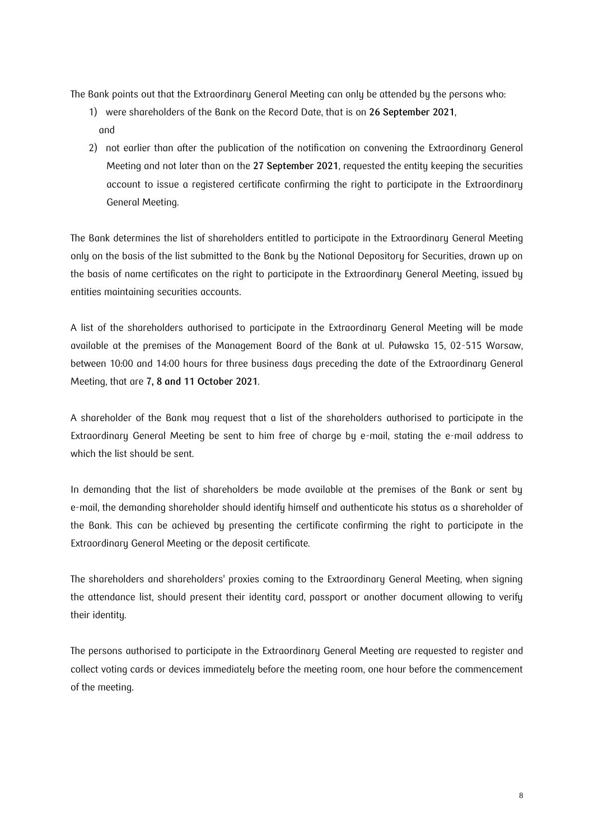The Bank points out that the Extraordinary General Meeting can only be attended by the persons who:

- 1) were shareholders of the Bank on the Record Date, that is on **26 September 2021**, and
- 2) not earlier than after the publication of the notification on convening the Extraordinary General Meeting and not later than on the **27 September 2021**, requested the entity keeping the securities account to issue a registered certificate confirming the right to participate in the Extraordinary General Meeting.

The Bank determines the list of shareholders entitled to participate in the Extraordinary General Meeting only on the basis of the list submitted to the Bank by the National Depository for Securities, drawn up on the basis of name certificates on the right to participate in the Extraordinary General Meeting, issued by entities maintaining securities accounts.

A list of the shareholders authorised to participate in the Extraordinary General Meeting will be made available at the premises of the Management Board of the Bank at ul. Puławska 15, 02-515 Warsaw, between 10:00 and 14:00 hours for three business days preceding the date of the Extraordinary General Meeting, that are **7, 8 and 11 October 2021**.

A shareholder of the Bank may request that a list of the shareholders authorised to participate in the Extraordinary General Meeting be sent to him free of charge by e-mail, stating the e-mail address to which the list should be sent.

In demanding that the list of shareholders be made available at the premises of the Bank or sent by e-mail, the demanding shareholder should identify himself and authenticate his status as a shareholder of the Bank. This can be achieved by presenting the certificate confirming the right to participate in the Extraordinary General Meeting or the deposit certificate.

The shareholders and shareholders' proxies coming to the Extraordinary General Meeting, when signing the attendance list, should present their identity card, passport or another document allowing to verify their identity.

The persons authorised to participate in the Extraordinary General Meeting are requested to register and collect voting cards or devices immediately before the meeting room, one hour before the commencement of the meeting.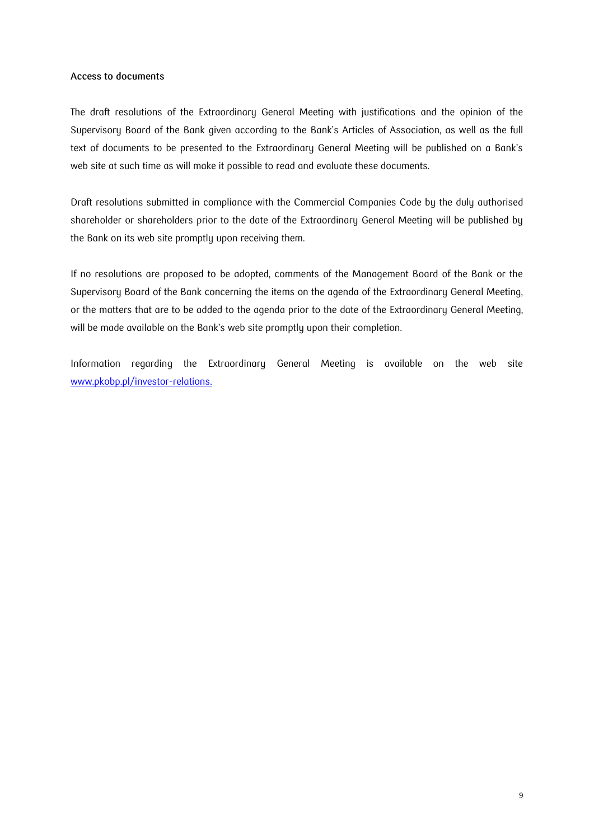#### **Access to documents**

The draft resolutions of the Extraordinary General Meeting with justifications and the opinion of the Supervisory Board of the Bank given according to the Bank's Articles of Association, as well as the full text of documents to be presented to the Extraordinary General Meeting will be published on a Bank's web site at such time as will make it possible to read and evaluate these documents.

Draft resolutions submitted in compliance with the Commercial Companies Code by the duly authorised shareholder or shareholders prior to the date of the Extraordinary General Meeting will be published by the Bank on its web site promptly upon receiving them.

If no resolutions are proposed to be adopted, comments of the Management Board of the Bank or the Supervisory Board of the Bank concerning the items on the agenda of the Extraordinary General Meeting, or the matters that are to be added to the agenda prior to the date of the Extraordinary General Meeting, will be made available on the Bank's web site promptly upon their completion.

Information regarding the Extraordinary General Meeting is available on the web site [www.pkobp.pl/](http://www.pkobp.pl/)investor-relations.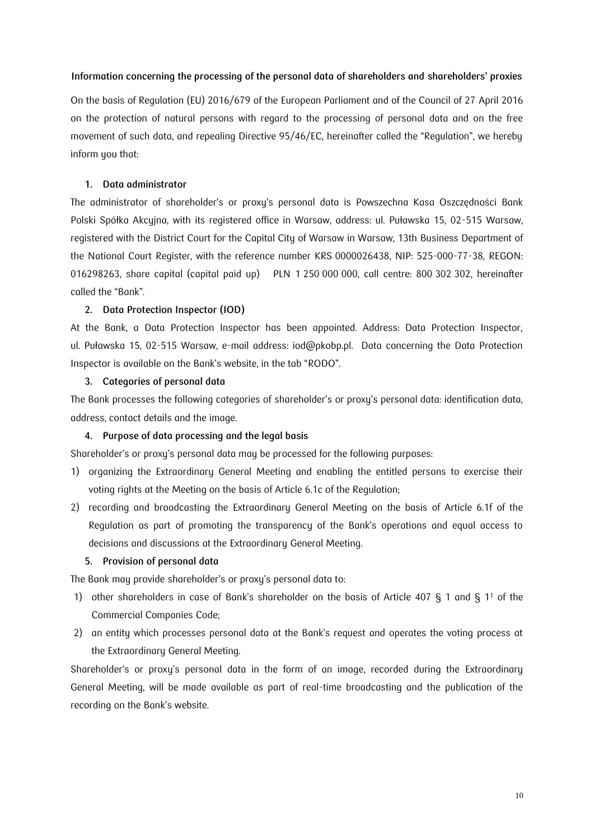#### **Information concerning the processing of the personal data of shareholders and shareholders' proxies**

On the basis of Regulation (EU) 2016/679 of the European Parliament and of the Council of 27 April 2016 on the protection of natural persons with regard to the processing of personal data and on the free movement of such data, and repealing Directive 95/46/EC, hereinafter called the "Regulation", we hereby inform you that:

#### **1. Data administrator**

The administrator of shareholder's or proxy's personal data is Powszechna Kasa Oszczędności Bank Polski Spółka Akcyjna, with its registered office in Warsaw, address: ul. Puławska 15, 02-515 Warsaw, registered with the District Court for the Capital City of Warsaw in Warsaw, 13th Business Department of the National Court Register, with the reference number KRS 0000026438, NIP: 525-000-77-38, REGON: 016298263, share capital (capital paid up) PLN 1 250 000 000, call centre: 800 302 302, hereinafter called the "Bank".

#### **2. Data Protection Inspector (IOD)**

At the Bank, a Data Protection Inspector has been appointed. Address: Data Protection Inspector, ul. Puławska 15, 02-515 Warsaw, e-mail address: iod@pkobp.pl. Data concerning the Data Protection Inspector is available on the Bank's website, in the tab "RODO".

#### **3. Categories of personal data**

The Bank processes the following categories of shareholder's or proxy's personal data: identification data, address, contact details and the image.

## **4. Purpose of data processing and the legal basis**

Shareholder's or proxy's personal data may be processed for the following purposes:

- 1) organizing the Extraordinary General Meeting and enabling the entitled persons to exercise their voting rights at the Meeting on the basis of Article 6.1c of the Regulation;
- 2) recording and broadcasting the Extraordinary General Meeting on the basis of Article 6.1f of the Regulation as part of promoting the transparency of the Bank's operations and equal access to decisions and discussions at the Extraordinary General Meeting.

## **5. Provision of personal data**

The Bank may provide shareholder's or proxy's personal data to:

- 1) other shareholders in case of Bank's shareholder on the basis of Article 407 § 1 and § 1<sup>1</sup> of the Commercial Companies Code;
- 2) an entity which processes personal data at the Bank's request and operates the voting process at the Extraordinary General Meeting.

Shareholder's or proxy's personal data in the form of an image, recorded during the Extraordinary General Meeting, will be made available as part of real-time broadcasting and the publication of the recording on the Bank's website.